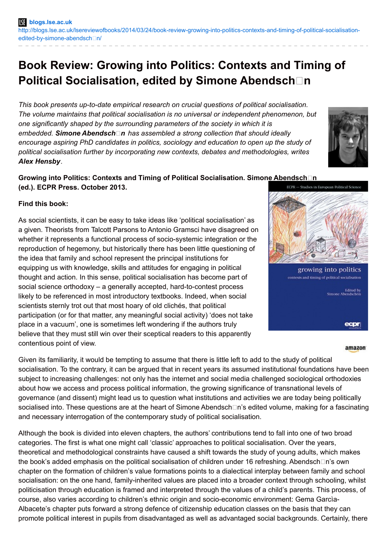# **Book Review: Growing into Politics: Contexts and Timing of Political Socialisation, edited by Simone Abendsch** $\Box$ **n**

*This book presents up-to-date empirical research on crucial questions of political socialisation. The volume maintains that political socialisation is no universal or independent phenomenon, but one significantly shaped by the surrounding parameters of the society in which it is*  $embedded.$  **Simone Abendsch**□n has assembled a strong collection that should ideally *encourage aspiring PhD candidates in politics, sociology and education to open up the study of political socialisation further by incorporating new contexts, debates and methodologies, writes Alex Hensby.*

#### **Growing into Politics: Contexts and Timing of Political Socialisation. Simone Abendsch□n (ed.). ECPR Press. October 2013.** ECPR - Studies in European Political Scie

## **Find this book:**

As social scientists, it can be easy to take ideas like 'political socialisation' as a given. Theorists from Talcott Parsons to Antonio Gramsci have disagreed on whether it represents a functional process of socio-systemic integration or the reproduction of hegemony, but historically there has been little questioning of the idea that family and school represent the principal institutions for equipping us with knowledge, skills and attitudes for engaging in political thought and action. In this sense, political socialisation has become part of social science orthodoxy – a generally accepted, hard-to-contest process likely to be referenced in most introductory textbooks. Indeed, when social scientists sternly trot out that most hoary of old clichés, that political participation (or for that matter, any meaningful social activity) 'does not take place in a vacuum', one is sometimes left wondering if the authors truly believe that they must still win over their sceptical readers to this apparently contentious point of view.

growing into politics contexts and timing of political socialisation **Edited by**<br>Simone Abendschön ecpr

#### amazon

Given its familiarity, it would be tempting to assume that there is little left to add to the study of political socialisation. To the contrary, it can be argued that in recent years its assumed institutional foundations have been subject to increasing challenges: not only has the internet and social media challenged sociological orthodoxies about how we access and process political information, the growing significance of transnational levels of governance (and dissent) might lead us to question what institutions and activities we are today being politically socialised into. These questions are at the heart of Simone Abendsch $\Box$ n's edited volume, making for a fascinating and necessary interrogation of the contemporary study of political socialisation.

Although the book is divided into eleven chapters, the authors' contributions tend to fall into one of two broad categories. The first is what one might call 'classic' approaches to political socialisation. Over the years, theoretical and methodological constraints have caused a shift towards the study of young adults, which makes the book's added emphasis on the political socialisation of children under 16 refreshing. Abendsch $\Box$ n's own chapter on the formation of children's value formations points to a dialectical interplay between family and school socialisation: on the one hand, family-inherited values are placed into a broader context through schooling, whilst politicisation through education is framed and interpreted through the values of a child's parents. This process, of course, also varies according to children's ethnic origin and socio-economic environment: Gema Garcìa-Albacete's chapter puts forward a strong defence of citizenship education classes on the basis that they can promote political interest in pupils from disadvantaged as well as advantaged social backgrounds. Certainly, there

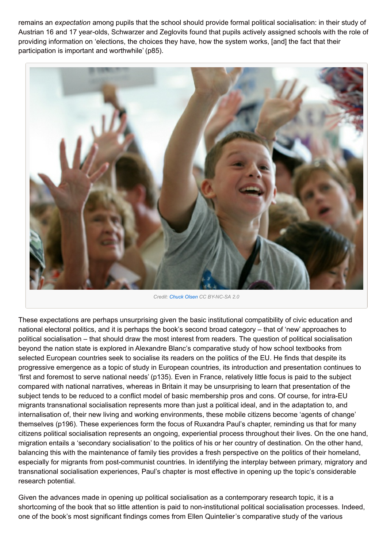remains an *expectation* among pupils that the school should provide formal political socialisation: in their study of Austrian 16 and 17 year-olds, Schwarzer and Zeglovits found that pupils actively assigned schools with the role of providing information on 'elections, the choices they have, how the system works, [and] the fact that their participation is important and worthwhile' (p85).



*Credit: [Chuck](http://www.flickr.com/photos/blogumentary/2873569122/in/photolist-5nVMZd-5r4EDL-5sfKkm-5umrV1-5vhXoW-5ztLDS-5zRMMZ-5zRQtP-5zSM9H-5zW5rW-5zW7Wb-5GwvK2-5H1bHp-5VfvFW-6hb3FH-6hnkqV-6mRxJp-6pw6jS-6pR2C4-6MhzAZ-6P9THC-6P9TRm-6PEo8c-7733ca-78warW-9Mmh1Y-aR81wx-bRpjLc-8jDMd7-e2wkey-irs6AX-9qAD4E-diQruy-fFBT1g-awjTwx-e41VUA-e2aJSe-diFCWq-aR81Pr-aR7XeF-aR7WB2-aRuNHa-8CDexd-dMhH6m-aR7XGx-aR8738-aR84o2-aR7X3g-aR7WRp-aR7Xtx-aR849c/) Olsen CC BY-NC-SA 2.0*

These expectations are perhaps unsurprising given the basic institutional compatibility of civic education and national electoral politics, and it is perhaps the book's second broad category – that of 'new' approaches to political socialisation – that should draw the most interest from readers. The question of political socialisation beyond the nation state is explored in Alexandre Blanc's comparative study of how school textbooks from selected European countries seek to socialise its readers on the politics of the EU. He finds that despite its progressive emergence as a topic of study in European countries, its introduction and presentation continues to 'first and foremost to serve national needs' (p135). Even in France, relatively little focus is paid to the subject compared with national narratives, whereas in Britain it may be unsurprising to learn that presentation of the subject tends to be reduced to a conflict model of basic membership pros and cons. Of course, for intra-EU migrants transnational socialisation represents more than just a political ideal, and in the adaptation to, and internalisation of, their new living and working environments, these mobile citizens become 'agents of change' themselves (p196). These experiences form the focus of Ruxandra Paul's chapter, reminding us that for many citizens political socialisation represents an ongoing, experiential process throughout their lives. On the one hand, migration entails a 'secondary socialisation' to the politics of his or her country of destination. On the other hand, balancing this with the maintenance of family ties provides a fresh perspective on the politics of their homeland, especially for migrants from post-communist countries. In identifying the interplay between primary, migratory and transnational socialisation experiences, Paul's chapter is most effective in opening up the topic's considerable research potential.

Given the advances made in opening up political socialisation as a contemporary research topic, it is a shortcoming of the book that so little attention is paid to non-institutional political socialisation processes. Indeed, one of the book's most significant findings comes from Ellen Quintelier's comparative study of the various